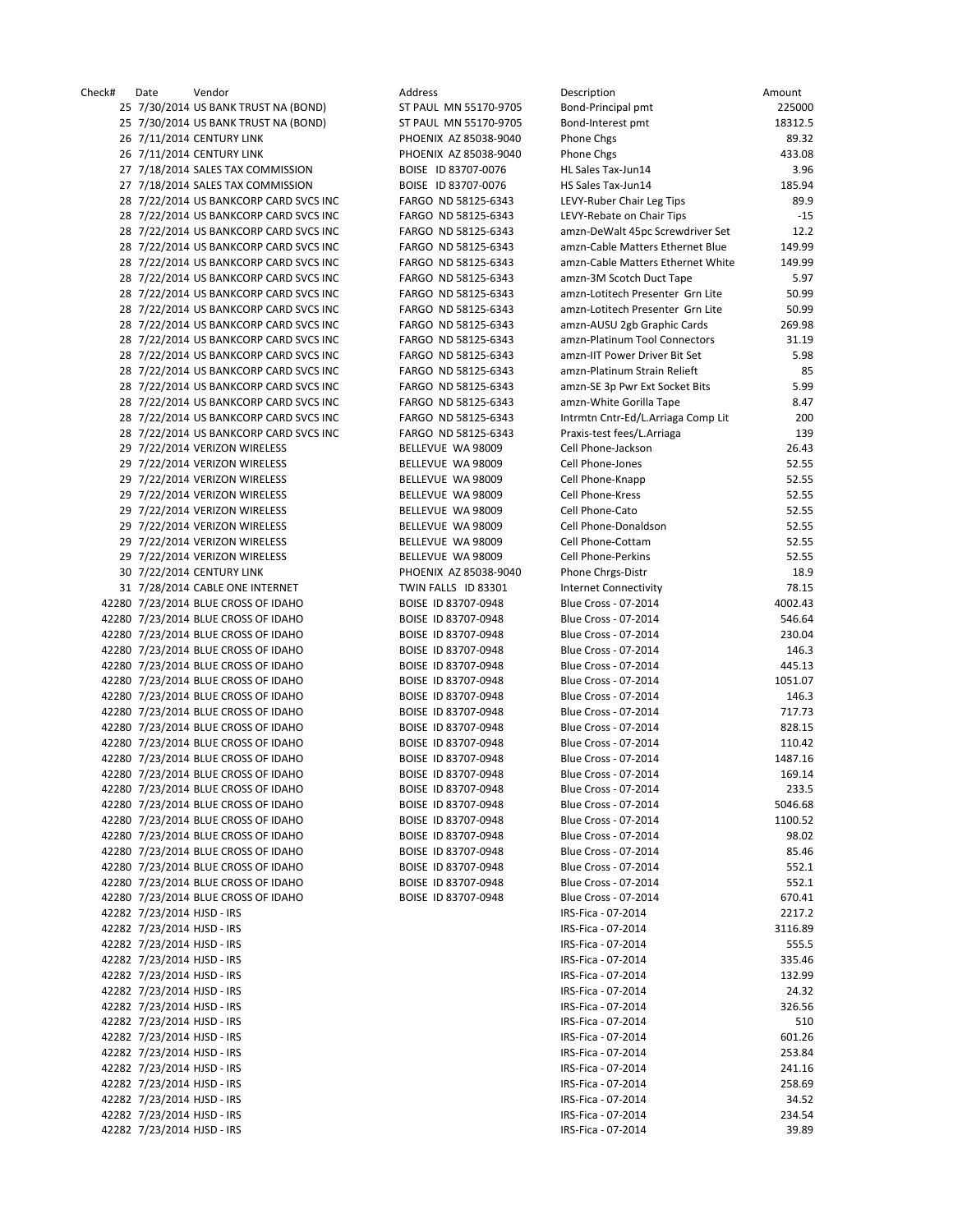| Check# | Date                       | Vendor                                 | Address               | Description                        | Amount  |
|--------|----------------------------|----------------------------------------|-----------------------|------------------------------------|---------|
|        |                            | 25 7/30/2014 US BANK TRUST NA (BOND)   | ST PAUL MN 55170-9705 | Bond-Principal pmt                 | 225000  |
|        |                            | 25 7/30/2014 US BANK TRUST NA (BOND)   | ST PAUL MN 55170-9705 | Bond-Interest pmt                  | 18312.5 |
|        |                            | 26 7/11/2014 CENTURY LINK              | PHOENIX AZ 85038-9040 | Phone Chgs                         | 89.32   |
|        |                            | 26 7/11/2014 CENTURY LINK              | PHOENIX AZ 85038-9040 | Phone Chgs                         | 433.08  |
|        |                            | 27 7/18/2014 SALES TAX COMMISSION      | BOISE ID 83707-0076   | HL Sales Tax-Jun14                 | 3.96    |
|        |                            | 27 7/18/2014 SALES TAX COMMISSION      | BOISE ID 83707-0076   | HS Sales Tax-Jun14                 | 185.94  |
|        |                            | 28 7/22/2014 US BANKCORP CARD SVCS INC | FARGO ND 58125-6343   | LEVY-Ruber Chair Leg Tips          | 89.9    |
|        |                            | 28 7/22/2014 US BANKCORP CARD SVCS INC | FARGO ND 58125-6343   | LEVY-Rebate on Chair Tips          | $-15$   |
|        |                            |                                        |                       |                                    | 12.2    |
|        |                            | 28 7/22/2014 US BANKCORP CARD SVCS INC | FARGO ND 58125-6343   | amzn-DeWalt 45pc Screwdriver Set   |         |
|        |                            | 28 7/22/2014 US BANKCORP CARD SVCS INC | FARGO ND 58125-6343   | amzn-Cable Matters Ethernet Blue   | 149.99  |
|        |                            | 28 7/22/2014 US BANKCORP CARD SVCS INC | FARGO ND 58125-6343   | amzn-Cable Matters Ethernet White  | 149.99  |
|        |                            | 28 7/22/2014 US BANKCORP CARD SVCS INC | FARGO ND 58125-6343   | amzn-3M Scotch Duct Tape           | 5.97    |
|        |                            | 28 7/22/2014 US BANKCORP CARD SVCS INC | FARGO ND 58125-6343   | amzn-Lotitech Presenter Grn Lite   | 50.99   |
|        |                            | 28 7/22/2014 US BANKCORP CARD SVCS INC | FARGO ND 58125-6343   | amzn-Lotitech Presenter Grn Lite   | 50.99   |
|        |                            | 28 7/22/2014 US BANKCORP CARD SVCS INC | FARGO ND 58125-6343   | amzn-AUSU 2gb Graphic Cards        | 269.98  |
|        |                            | 28 7/22/2014 US BANKCORP CARD SVCS INC | FARGO ND 58125-6343   | amzn-Platinum Tool Connectors      | 31.19   |
|        |                            | 28 7/22/2014 US BANKCORP CARD SVCS INC | FARGO ND 58125-6343   | amzn-IIT Power Driver Bit Set      | 5.98    |
|        |                            | 28 7/22/2014 US BANKCORP CARD SVCS INC | FARGO ND 58125-6343   | amzn-Platinum Strain Relieft       | 85      |
|        |                            | 28 7/22/2014 US BANKCORP CARD SVCS INC | FARGO ND 58125-6343   | amzn-SE 3p Pwr Ext Socket Bits     | 5.99    |
|        |                            | 28 7/22/2014 US BANKCORP CARD SVCS INC | FARGO ND 58125-6343   | amzn-White Gorilla Tape            | 8.47    |
|        |                            | 28 7/22/2014 US BANKCORP CARD SVCS INC | FARGO ND 58125-6343   | Intrmtn Cntr-Ed/L.Arriaga Comp Lit | 200     |
|        |                            | 28 7/22/2014 US BANKCORP CARD SVCS INC | FARGO ND 58125-6343   | Praxis-test fees/L.Arriaga         | 139     |
|        |                            | 29 7/22/2014 VERIZON WIRELESS          | BELLEVUE WA 98009     | Cell Phone-Jackson                 | 26.43   |
|        |                            | 29 7/22/2014 VERIZON WIRELESS          | BELLEVUE WA 98009     | Cell Phone-Jones                   | 52.55   |
|        |                            | 29 7/22/2014 VERIZON WIRELESS          | BELLEVUE WA 98009     | Cell Phone-Knapp                   | 52.55   |
|        |                            |                                        | BELLEVUE WA 98009     | Cell Phone-Kress                   | 52.55   |
|        |                            | 29 7/22/2014 VERIZON WIRELESS          |                       |                                    |         |
|        |                            | 29 7/22/2014 VERIZON WIRELESS          | BELLEVUE WA 98009     | Cell Phone-Cato                    | 52.55   |
|        |                            | 29 7/22/2014 VERIZON WIRELESS          | BELLEVUE WA 98009     | Cell Phone-Donaldson               | 52.55   |
|        |                            | 29 7/22/2014 VERIZON WIRELESS          | BELLEVUE WA 98009     | Cell Phone-Cottam                  | 52.55   |
|        |                            | 29 7/22/2014 VERIZON WIRELESS          | BELLEVUE WA 98009     | Cell Phone-Perkins                 | 52.55   |
|        |                            | 30 7/22/2014 CENTURY LINK              | PHOENIX AZ 85038-9040 | Phone Chrgs-Distr                  | 18.9    |
|        |                            | 31 7/28/2014 CABLE ONE INTERNET        | TWIN FALLS ID 83301   | <b>Internet Connectivity</b>       | 78.15   |
|        |                            | 42280 7/23/2014 BLUE CROSS OF IDAHO    | BOISE ID 83707-0948   | Blue Cross - 07-2014               | 4002.43 |
|        |                            | 42280 7/23/2014 BLUE CROSS OF IDAHO    | BOISE ID 83707-0948   | Blue Cross - 07-2014               | 546.64  |
|        |                            | 42280 7/23/2014 BLUE CROSS OF IDAHO    | BOISE ID 83707-0948   | Blue Cross - 07-2014               | 230.04  |
|        |                            | 42280 7/23/2014 BLUE CROSS OF IDAHO    | BOISE ID 83707-0948   | Blue Cross - 07-2014               | 146.3   |
|        |                            | 42280 7/23/2014 BLUE CROSS OF IDAHO    | BOISE ID 83707-0948   | Blue Cross - 07-2014               | 445.13  |
|        |                            | 42280 7/23/2014 BLUE CROSS OF IDAHO    | BOISE ID 83707-0948   | Blue Cross - 07-2014               | 1051.07 |
|        |                            | 42280 7/23/2014 BLUE CROSS OF IDAHO    | BOISE ID 83707-0948   | Blue Cross - 07-2014               | 146.3   |
|        |                            | 42280 7/23/2014 BLUE CROSS OF IDAHO    | BOISE ID 83707-0948   | Blue Cross - 07-2014               | 717.73  |
|        |                            | 42280 7/23/2014 BLUE CROSS OF IDAHO    | BOISE ID 83707-0948   | Blue Cross - 07-2014               | 828.15  |
|        |                            |                                        |                       |                                    | 110.42  |
|        |                            | 42280 7/23/2014 BLUE CROSS OF IDAHO    | BOISE ID 83707-0948   | Blue Cross - 07-2014               |         |
|        |                            | 42280 7/23/2014 BLUE CROSS OF IDAHO    | BOISE ID 83707-0948   | Blue Cross - 07-2014               | 1487.16 |
|        |                            | 42280 7/23/2014 BLUE CROSS OF IDAHO    | BOISE ID 83707-0948   | <b>Blue Cross - 07-2014</b>        | 169.14  |
|        |                            | 42280 7/23/2014 BLUE CROSS OF IDAHO    | BOISE ID 83707-0948   | Blue Cross - 07-2014               | 233.5   |
|        |                            | 42280 7/23/2014 BLUE CROSS OF IDAHO    | BOISE ID 83707-0948   | Blue Cross - 07-2014               | 5046.68 |
|        |                            | 42280 7/23/2014 BLUE CROSS OF IDAHO    | BOISE ID 83707-0948   | Blue Cross - 07-2014               | 1100.52 |
|        |                            | 42280 7/23/2014 BLUE CROSS OF IDAHO    | BOISE ID 83707-0948   | Blue Cross - 07-2014               | 98.02   |
|        |                            | 42280 7/23/2014 BLUE CROSS OF IDAHO    | BOISE ID 83707-0948   | Blue Cross - 07-2014               | 85.46   |
|        |                            | 42280 7/23/2014 BLUE CROSS OF IDAHO    | BOISE ID 83707-0948   | Blue Cross - 07-2014               | 552.1   |
|        |                            | 42280 7/23/2014 BLUE CROSS OF IDAHO    | BOISE ID 83707-0948   | Blue Cross - 07-2014               | 552.1   |
|        |                            | 42280 7/23/2014 BLUE CROSS OF IDAHO    | BOISE ID 83707-0948   | Blue Cross - 07-2014               | 670.41  |
|        | 42282 7/23/2014 HJSD - IRS |                                        |                       | IRS-Fica - 07-2014                 | 2217.2  |
|        | 42282 7/23/2014 HJSD - IRS |                                        |                       | IRS-Fica - 07-2014                 | 3116.89 |
|        | 42282 7/23/2014 HJSD - IRS |                                        |                       | IRS-Fica - 07-2014                 | 555.5   |
|        |                            |                                        |                       |                                    |         |
|        | 42282 7/23/2014 HJSD - IRS |                                        |                       | IRS-Fica - 07-2014                 | 335.46  |
|        | 42282 7/23/2014 HJSD - IRS |                                        |                       | IRS-Fica - 07-2014                 | 132.99  |
|        | 42282 7/23/2014 HJSD - IRS |                                        |                       | IRS-Fica - 07-2014                 | 24.32   |
|        | 42282 7/23/2014 HJSD - IRS |                                        |                       | IRS-Fica - 07-2014                 | 326.56  |
|        | 42282 7/23/2014 HJSD - IRS |                                        |                       | IRS-Fica - 07-2014                 | 510     |
|        | 42282 7/23/2014 HJSD - IRS |                                        |                       | IRS-Fica - 07-2014                 | 601.26  |
|        | 42282 7/23/2014 HJSD - IRS |                                        |                       | IRS-Fica - 07-2014                 | 253.84  |
|        | 42282 7/23/2014 HJSD - IRS |                                        |                       | IRS-Fica - 07-2014                 | 241.16  |
|        | 42282 7/23/2014 HJSD - IRS |                                        |                       | IRS-Fica - 07-2014                 | 258.69  |
|        | 42282 7/23/2014 HJSD - IRS |                                        |                       | IRS-Fica - 07-2014                 | 34.52   |
|        | 42282 7/23/2014 HJSD - IRS |                                        |                       | IRS-Fica - 07-2014                 | 234.54  |
|        | 42282 7/23/2014 HJSD - IRS |                                        |                       | IRS-Fica - 07-2014                 | 39.89   |
|        |                            |                                        |                       |                                    |         |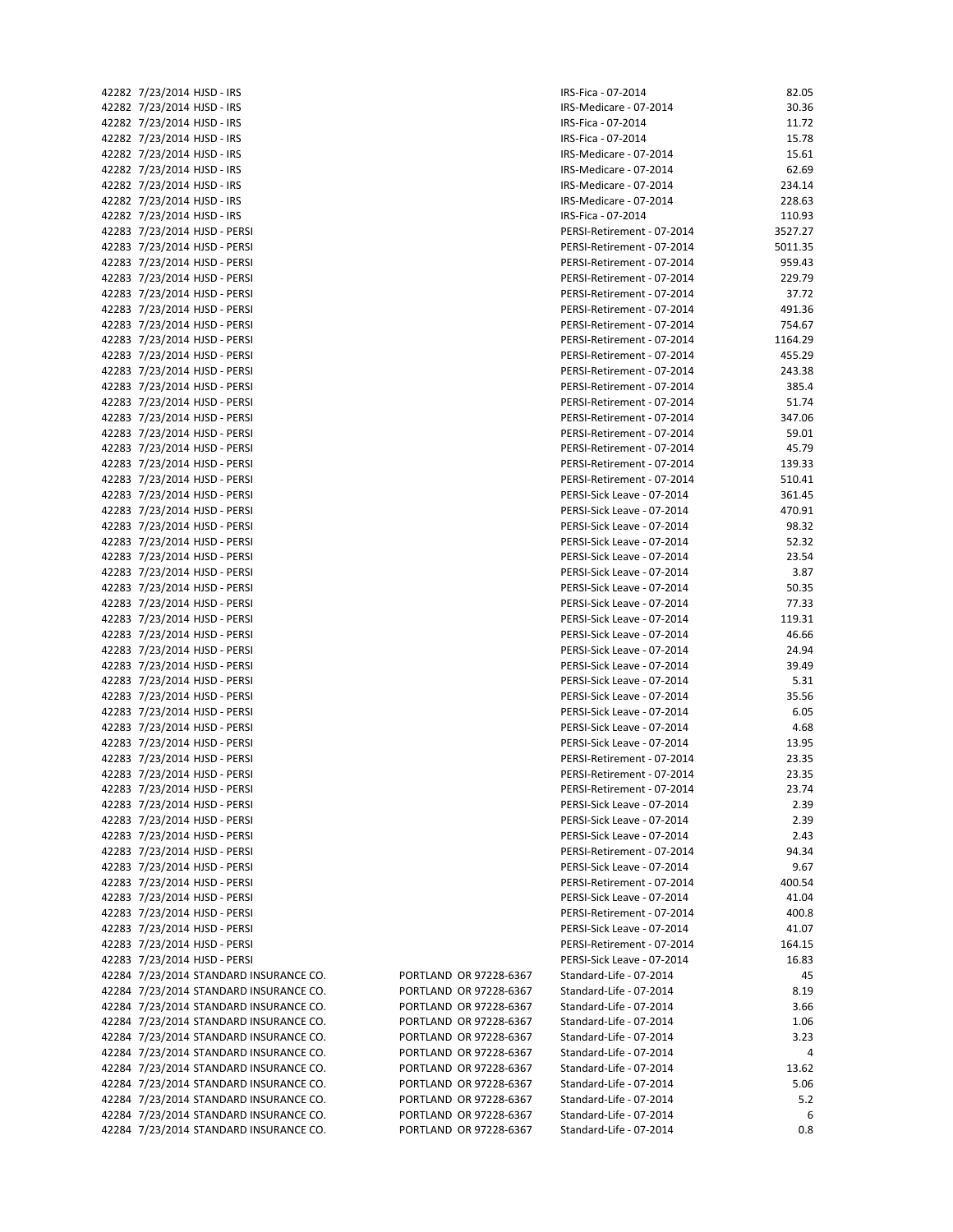|       | 42282 7/23/2014 HJSD - IRS                                   |
|-------|--------------------------------------------------------------|
|       | 42282 7/23/2014 HJSD - IRS                                   |
|       | 42282 7/23/2014 HJSD - IRS                                   |
|       | 42282 7/23/2014 HJSD - IRS                                   |
|       |                                                              |
|       | 42282 7/23/2014 HJSD - IRS                                   |
|       | 42282 7/23/2014 HJSD - IRS                                   |
|       | 42282 7/23/2014 HJSD - IRS                                   |
|       | 42282 7/23/2014 HJSD - IRS                                   |
| 42282 | 7/23/2014 HJSD - IRS                                         |
|       | 42283 7/23/2014 HJSD - PERSI                                 |
|       | 42283 7/23/2014 HJSD - PERSI                                 |
|       | 42283 7/23/2014 HJSD - PERSI                                 |
|       | 42283 7/23/2014 HJSD - PERSI                                 |
|       |                                                              |
|       | 42283 7/23/2014 HJSD - PERSI                                 |
| 42283 | 7/23/2014 HJSD - PERSI                                       |
|       | 42283 7/23/2014 HJSD - PERSI                                 |
|       | 42283 7/23/2014 HJSD - PERSI                                 |
| 42283 | 7/23/2014 HJSD - PERSI                                       |
|       | 42283 7/23/2014 HJSD - PERSI                                 |
|       | 42283 7/23/2014 HJSD - PERSI                                 |
| 42283 | 7/23/2014 HJSD - PERSI                                       |
|       | 42283 7/23/2014 HJSD - PERSI                                 |
|       |                                                              |
|       | 42283 7/23/2014 HJSD - PERSI<br>42283 7/23/2014 HJSD - PERSI |
|       |                                                              |
|       | 42283 7/23/2014 HJSD - PERSI                                 |
|       | 42283 7/23/2014 HJSD - PERSI<br>42283 7/23/2014 HJSD - PERSI |
|       |                                                              |
|       | 42283 7/23/2014 HJSD - PERSI                                 |
|       |                                                              |
|       | 42283 7/23/2014 HJSD - PERSI<br>42283 7/23/2014 HJSD - PERSI |
|       | 42283 7/23/2014 HJSD - PERSI                                 |
|       |                                                              |
|       | 42283 7/23/2014 HJSD - PERSI<br>42283 7/23/2014 HJSD - PERSI |
|       |                                                              |
|       | 42283 7/23/2014 HJSD - PERSI                                 |
| 42283 | 7/23/2014 HJSD - PERSI                                       |
| 42283 | 7/23/2014 HJSD - PERSI                                       |
|       | 42283 7/23/2014 HJSD - PERSI                                 |
| 42283 | 7/23/2014 HJSD - PERSI                                       |
|       | 42283 7/23/2014 HJSD - PERSI                                 |
|       | 42283 7/23/2014 HJSD - PERSI                                 |
| 42283 | 7/23/2014 HJSD - PERSI                                       |
|       | 42283 7/23/2014 HJSD - PERSI                                 |
|       | 42283 7/23/2014 HJSD - PERSI                                 |
|       | 42283 7/23/2014 HJSD - PERSI                                 |
|       | 42283 7/23/2014 HJSD - PERSI                                 |
|       |                                                              |
|       | 42283 7/23/2014 HJSD - PERSI                                 |
| 42283 | 7/23/2014 HJSD - PERSI                                       |
| 42283 | 7/23/2014 HJSD - PERSI                                       |
|       | 42283 7/23/2014 HJSD - PERSI                                 |
| 42283 | 7/23/2014 HJSD - PERSI                                       |
| 42283 | 7/23/2014 HJSD - PERSI                                       |
|       | 42283 7/23/2014 HJSD - PERSI                                 |
| 42283 | 7/23/2014 HJSD - PERSI                                       |
| 42283 | 7/23/2014 HJSD - PERSI                                       |
|       | 7/23/2014 HJSD - PERSI                                       |
| 42283 |                                                              |
| 42283 | 7/23/2014 HJSD - PERSI                                       |
| 42283 | 7/23/2014 HJSD - PERSI                                       |
| 42284 | 7/23/2014 STANDARD INSURAI                                   |
| 42284 | 7/23/2014 STANDARD INSURAI                                   |
| 42284 | 7/23/2014 STANDARD INSURAI                                   |
| 42284 | 7/23/2014 STANDARD INSURAI                                   |
| 42284 | 7/23/2014 STANDARD INSURAI                                   |
| 42284 | 7/23/2014 STANDARD INSURAI                                   |
| 42284 | 7/23/2014 STANDARD INSURAI                                   |
| 42284 | 7/23/2014 STANDARD INSURAI                                   |
|       | 42284 7/23/2014 STANDARD INSURAI                             |
|       |                                                              |
|       | 42284 7/23/2014 STANDARD INSURAI                             |
|       | 42284 7/23/2014 STANDARD INSURAI                             |

| 42282 7/23/2014 HJSD - IRS             |                        | IRS-Fica - 07-2014         | 82.05   |
|----------------------------------------|------------------------|----------------------------|---------|
| 42282 7/23/2014 HJSD - IRS             |                        | IRS-Medicare - 07-2014     | 30.36   |
| 42282 7/23/2014 HJSD - IRS             |                        | IRS-Fica - 07-2014         | 11.72   |
| 42282 7/23/2014 HJSD - IRS             |                        | IRS-Fica - 07-2014         | 15.78   |
| 42282 7/23/2014 HJSD - IRS             |                        | IRS-Medicare - 07-2014     | 15.61   |
| 42282 7/23/2014 HJSD - IRS             |                        | IRS-Medicare - 07-2014     | 62.69   |
|                                        |                        |                            |         |
| 42282 7/23/2014 HJSD - IRS             |                        | IRS-Medicare - 07-2014     | 234.14  |
| 42282 7/23/2014 HJSD - IRS             |                        | IRS-Medicare - 07-2014     | 228.63  |
| 42282 7/23/2014 HJSD - IRS             |                        | IRS-Fica - 07-2014         | 110.93  |
| 42283 7/23/2014 HJSD - PERSI           |                        | PERSI-Retirement - 07-2014 | 3527.27 |
| 42283 7/23/2014 HJSD - PERSI           |                        | PERSI-Retirement - 07-2014 | 5011.35 |
| 42283 7/23/2014 HJSD - PERSI           |                        | PERSI-Retirement - 07-2014 | 959.43  |
| 42283 7/23/2014 HJSD - PERSI           |                        | PERSI-Retirement - 07-2014 | 229.79  |
|                                        |                        | PERSI-Retirement - 07-2014 | 37.72   |
| 42283 7/23/2014 HJSD - PERSI           |                        |                            |         |
| 42283 7/23/2014 HJSD - PERSI           |                        | PERSI-Retirement - 07-2014 | 491.36  |
| 42283 7/23/2014 HJSD - PERSI           |                        | PERSI-Retirement - 07-2014 | 754.67  |
| 42283 7/23/2014 HJSD - PERSI           |                        | PERSI-Retirement - 07-2014 | 1164.29 |
| 42283 7/23/2014 HJSD - PERSI           |                        | PERSI-Retirement - 07-2014 | 455.29  |
| 42283 7/23/2014 HJSD - PERSI           |                        | PERSI-Retirement - 07-2014 | 243.38  |
| 42283 7/23/2014 HJSD - PERSI           |                        | PERSI-Retirement - 07-2014 | 385.4   |
| 42283 7/23/2014 HJSD - PERSI           |                        | PERSI-Retirement - 07-2014 | 51.74   |
|                                        |                        |                            |         |
| 42283 7/23/2014 HJSD - PERSI           |                        | PERSI-Retirement - 07-2014 | 347.06  |
| 42283 7/23/2014 HJSD - PERSI           |                        | PERSI-Retirement - 07-2014 | 59.01   |
| 42283 7/23/2014 HJSD - PERSI           |                        | PERSI-Retirement - 07-2014 | 45.79   |
| 42283 7/23/2014 HJSD - PERSI           |                        | PERSI-Retirement - 07-2014 | 139.33  |
| 42283 7/23/2014 HJSD - PERSI           |                        | PERSI-Retirement - 07-2014 | 510.41  |
| 42283 7/23/2014 HJSD - PERSI           |                        | PERSI-Sick Leave - 07-2014 | 361.45  |
| 42283 7/23/2014 HJSD - PERSI           |                        | PERSI-Sick Leave - 07-2014 | 470.91  |
| 42283 7/23/2014 HJSD - PERSI           |                        | PERSI-Sick Leave - 07-2014 | 98.32   |
|                                        |                        |                            |         |
| 42283 7/23/2014 HJSD - PERSI           |                        | PERSI-Sick Leave - 07-2014 | 52.32   |
| 42283 7/23/2014 HJSD - PERSI           |                        | PERSI-Sick Leave - 07-2014 | 23.54   |
| 42283 7/23/2014 HJSD - PERSI           |                        | PERSI-Sick Leave - 07-2014 | 3.87    |
| 42283 7/23/2014 HJSD - PERSI           |                        | PERSI-Sick Leave - 07-2014 | 50.35   |
| 42283 7/23/2014 HJSD - PERSI           |                        | PERSI-Sick Leave - 07-2014 | 77.33   |
| 42283 7/23/2014 HJSD - PERSI           |                        | PERSI-Sick Leave - 07-2014 | 119.31  |
| 42283 7/23/2014 HJSD - PERSI           |                        | PERSI-Sick Leave - 07-2014 | 46.66   |
| 42283 7/23/2014 HJSD - PERSI           |                        | PERSI-Sick Leave - 07-2014 | 24.94   |
|                                        |                        |                            |         |
| 42283 7/23/2014 HJSD - PERSI           |                        | PERSI-Sick Leave - 07-2014 | 39.49   |
| 42283 7/23/2014 HJSD - PERSI           |                        | PERSI-Sick Leave - 07-2014 | 5.31    |
| 42283 7/23/2014 HJSD - PERSI           |                        | PERSI-Sick Leave - 07-2014 | 35.56   |
| 42283 7/23/2014 HJSD - PERSI           |                        | PERSI-Sick Leave - 07-2014 | 6.05    |
| 42283 7/23/2014 HJSD - PERSI           |                        | PERSI-Sick Leave - 07-2014 | 4.68    |
| 42283 7/23/2014 HJSD - PERSI           |                        | PERSI-Sick Leave - 07-2014 | 13.95   |
| 42283 7/23/2014 HJSD - PERSI           |                        | PERSI-Retirement - 07-2014 | 23.35   |
| 42283 7/23/2014 HJSD - PERSI           |                        | PERSI-Retirement - 07-2014 | 23.35   |
| 42283 7/23/2014 HJSD - PERSI           |                        | PERSI-Retirement - 07-2014 |         |
|                                        |                        |                            | 23.74   |
| 42283 7/23/2014 HJSD - PERSI           |                        | PERSI-Sick Leave - 07-2014 | 2.39    |
| 42283 7/23/2014 HJSD - PERSI           |                        | PERSI-Sick Leave - 07-2014 | 2.39    |
| 42283 7/23/2014 HJSD - PERSI           |                        | PERSI-Sick Leave - 07-2014 | 2.43    |
| 42283 7/23/2014 HJSD - PERSI           |                        | PERSI-Retirement - 07-2014 | 94.34   |
| 42283 7/23/2014 HJSD - PERSI           |                        | PERSI-Sick Leave - 07-2014 | 9.67    |
| 42283 7/23/2014 HJSD - PERSI           |                        | PERSI-Retirement - 07-2014 | 400.54  |
| 42283 7/23/2014 HJSD - PERSI           |                        | PERSI-Sick Leave - 07-2014 | 41.04   |
| 42283 7/23/2014 HJSD - PERSI           |                        |                            | 400.8   |
|                                        |                        | PERSI-Retirement - 07-2014 |         |
| 42283 7/23/2014 HJSD - PERSI           |                        | PERSI-Sick Leave - 07-2014 | 41.07   |
| 42283 7/23/2014 HJSD - PERSI           |                        | PERSI-Retirement - 07-2014 | 164.15  |
| 42283 7/23/2014 HJSD - PERSI           |                        | PERSI-Sick Leave - 07-2014 | 16.83   |
| 42284 7/23/2014 STANDARD INSURANCE CO. | PORTLAND OR 97228-6367 | Standard-Life - 07-2014    | 45      |
| 42284 7/23/2014 STANDARD INSURANCE CO. | PORTLAND OR 97228-6367 | Standard-Life - 07-2014    | 8.19    |
| 42284 7/23/2014 STANDARD INSURANCE CO. | PORTLAND OR 97228-6367 | Standard-Life - 07-2014    | 3.66    |
| 42284 7/23/2014 STANDARD INSURANCE CO. | PORTLAND OR 97228-6367 | Standard-Life - 07-2014    | 1.06    |
|                                        |                        |                            |         |
| 42284 7/23/2014 STANDARD INSURANCE CO. | PORTLAND OR 97228-6367 | Standard-Life - 07-2014    | 3.23    |
| 42284 7/23/2014 STANDARD INSURANCE CO. | PORTLAND OR 97228-6367 | Standard-Life - 07-2014    | 4       |
| 42284 7/23/2014 STANDARD INSURANCE CO. | PORTLAND OR 97228-6367 | Standard-Life - 07-2014    | 13.62   |
| 42284 7/23/2014 STANDARD INSURANCE CO. | PORTLAND OR 97228-6367 | Standard-Life - 07-2014    | 5.06    |
| 42284 7/23/2014 STANDARD INSURANCE CO. | PORTLAND OR 97228-6367 | Standard-Life - 07-2014    | 5.2     |
| 42284 7/23/2014 STANDARD INSURANCE CO. | PORTLAND OR 97228-6367 | Standard-Life - 07-2014    | 6       |
| 42284 7/23/2014 STANDARD INSURANCE CO. | PORTLAND OR 97228-6367 | Standard-Life - 07-2014    | 0.8     |
|                                        |                        |                            |         |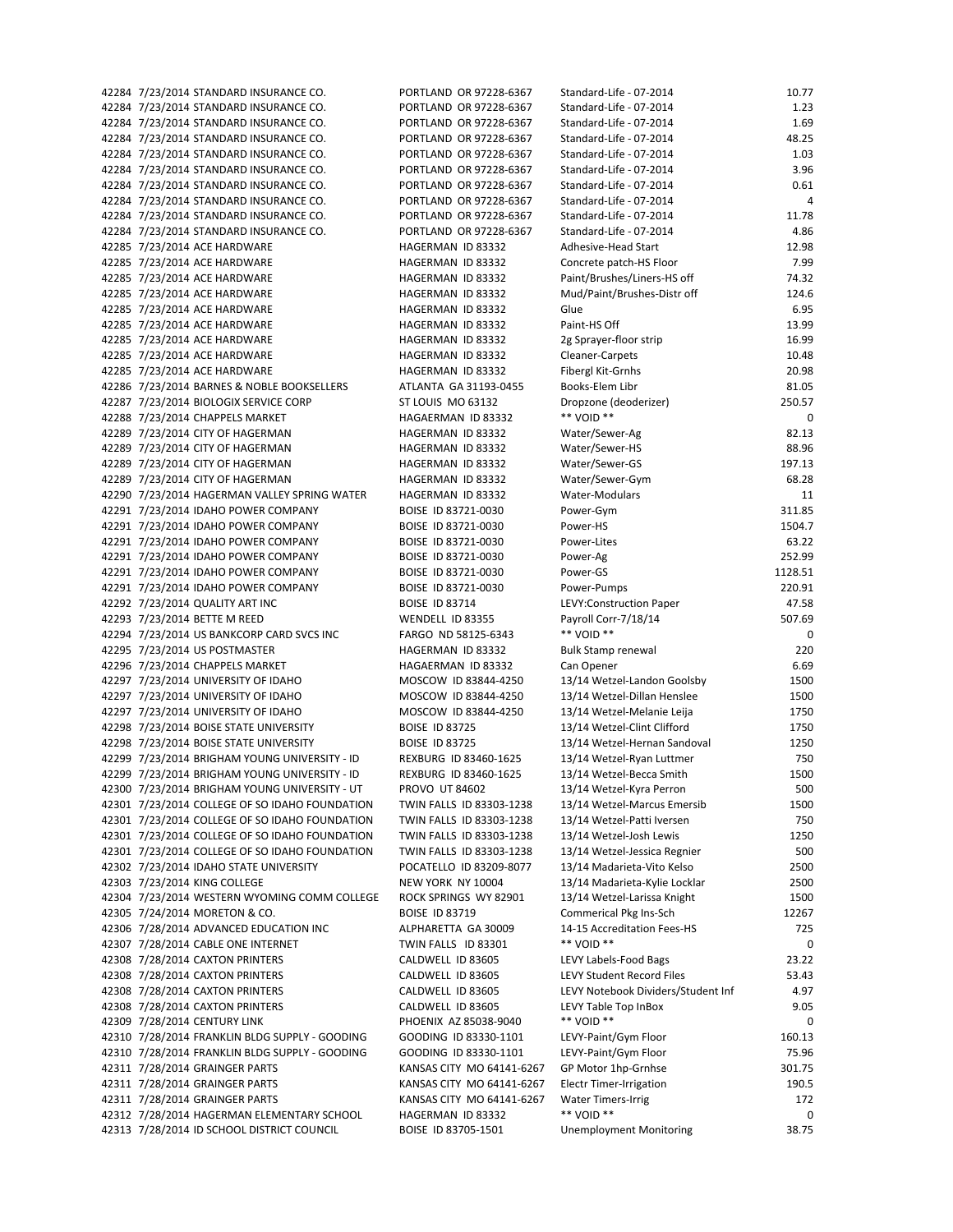42284 7/23/2014 STANDARD INSURANCE CO. PORTLAND OR 97228-6367 42284 7/23/2014 STANDARD INSURANCE CO. PORTLAND OR 97228-6367 42284 7/23/2014 STANDARD INSURANCE CO. PORTLAND OR 97228-6367 42284 7/23/2014 STANDARD INSURANCE CO. PORTLAND OR 97228-6367 42284 7/23/2014 STANDARD INSURANCE CO. PORTLAND OR 97228-6367 42284 7/23/2014 STANDARD INSURANCE CO. PORTLAND OR 97228-6367 42284 7/23/2014 STANDARD INSURANCE CO. PORTLAND OR 97228-6367 42284 7/23/2014 STANDARD INSURANCE CO. PORTLAND OR 97228-6367 42284 7/23/2014 STANDARD INSURANCE CO. PORTLAND OR 97228-6367 42284 7/23/2014 STANDARD INSURANCE CO. PORTLAND OR 97228-6367 42285 7/23/2014 ACE HARDWARE HAGERMAN ID 83332 42285 7/23/2014 ACE HARDWARE HAGERMAN ID 83332 42285 7/23/2014 ACE HARDWARE HAGERMAN ID 83332 42285 7/23/2014 ACE HARDWARE HAGERMAN ID 83332 42285 7/23/2014 ACE HARDWARE HAGERMAN ID 83332 42285 7/23/2014 ACE HARDWARE HAGERMAN ID 83332 42285 7/23/2014 ACE HARDWARE HAGERMAN ID 83332 42285 7/23/2014 ACE HARDWARE HAGERMAN ID 83332 42285 7/23/2014 ACE HARDWARE HAGERMAN ID 83332 42286 7/23/2014 BARNES & NOBLE BOOKSELLERS ATLANTA GA 31193-0455 42287 7/23/2014 BIOLOGIX SERVICE CORP ST LOUIS MO 63132 42288 7/23/2014 CHAPPELS MARKET HAGAERMAN ID 83332 42289 7/23/2014 CITY OF HAGERMAN HAG HAGERMAN ID 83332 42289 7/23/2014 CITY OF HAGERMAN HAGERMAN ID 83332 42289 7/23/2014 CITY OF HAGERMAN MAGERMAN ID 83332 42289 7/23/2014 CITY OF HAGERMAN MAGERMAN ID 83332 42290 7/23/2014 HAGERMAN VALLEY SPRING WATER HAGERMAN ID 83332 42291 7/23/2014 IDAHO POWER COMPANY BOISE ID 83721-0030 42291 7/23/2014 IDAHO POWER COMPANY BOISE ID 83721-0030 42291 7/23/2014 IDAHO POWER COMPANY BOISE ID 83721-0030 42291 7/23/2014 IDAHO POWER COMPANY BOISE ID 83721-0030 42291 7/23/2014 IDAHO POWER COMPANY BOISE ID 83721-0030 42291 7/23/2014 IDAHO POWER COMPANY BOISE ID 83721-0030 42292 7/23/2014 QUALITY ART INC BOISE ID 83714 42293 7/23/2014 BETTE M REED WENDELL ID 83355 42294 7/23/2014 US BANKCORP CARD SVCS INC FARGO ND 58125-6343 42295 7/23/2014 US POSTMASTER HAGERMAN ID 83332 42296 7/23/2014 CHAPPELS MARKET HAGAERMAN ID 83332 42297 7/23/2014 UNIVERSITY OF IDAHO MOSCOW ID 83844-4250 42297 7/23/2014 UNIVERSITY OF IDAHO MOSCOW ID 83844-4250 42297 7/23/2014 UNIVERSITY OF IDAHO MOSCOW ID 83844-4250 42298 7/23/2014 BOISE STATE UNIVERSITY BOISE ID 83725 42298 7/23/2014 BOISE STATE UNIVERSITY BOISE ID 83725 42299 7/23/2014 BRIGHAM YOUNG UNIVERSITY - ID REXBURG ID 83460-1625 42299 7/23/2014 BRIGHAM YOUNG UNIVERSITY - ID REXBURG ID 83460-1625 42300 7/23/2014 BRIGHAM YOUNG UNIVERSITY - UT PROVO UT 84602 42301 7/23/2014 COLLEGE OF SO IDAHO FOUNDATION TWIN FALLS ID 83303-1238 42301 7/23/2014 COLLEGE OF SO IDAHO FOUNDATION TWIN FALLS ID 83303-1238 42301 7/23/2014 COLLEGE OF SO IDAHO FOUNDATION TWIN FALLS ID 83303-1238 42301 7/23/2014 COLLEGE OF SO IDAHO FOUNDATION TWIN FALLS ID 83303-1238 42302 7/23/2014 IDAHO STATE UNIVERSITY POCATELLO ID 83209-8077 42303 7/23/2014 KING COLLEGE NEW YORK NY 10004 42304 7/23/2014 WESTERN WYOMING COMM COLLEGE ROCK SPRINGS WY 82901 42305 7/24/2014 MORETON & CO. BOISE ID 83719 42306 7/28/2014 ADVANCED EDUCATION INC ALPHARETTA GA 30009 42307 7/28/2014 CABLE ONE INTERNET TWIN FALLS ID 83301 42308 7/28/2014 CAXTON PRINTERS CALDWELL ID 83605 42308 7/28/2014 CAXTON PRINTERS CALDWELL ID 83605 42308 7/28/2014 CAXTON PRINTERS CALDWELL ID 83605 42308 7/28/2014 CAXTON PRINTERS CALDWELL ID 83605 42309 7/28/2014 CENTURY LINK **PHOENIX AZ 85038-9040** 42310 7/28/2014 FRANKLIN BLDG SUPPLY - GOODING GOODING ID 83330-1101 42310 7/28/2014 FRANKLIN BLDG SUPPLY - GOODING GOODING ID 83330-1101 42311 7/28/2014 GRAINGER PARTS KANSAS CITY MO 64141-6267 42311 7/28/2014 GRAINGER PARTS KANSAS CITY MO 64141-6267 42311 7/28/2014 GRAINGER PARTS KANSAS CITY MO 64141-6267 42312 7/28/2014 HAGERMAN ELEMENTARY SCHOOL HAGERMAN ID 83332 42313 7/28/2014 ID SCHOOL DISTRICT COUNCIL BOISE ID 83705-1501

| Standard-Life - 07-2014                                     | 10.77         |
|-------------------------------------------------------------|---------------|
| Standard-Life - 07-2014                                     | 1.23          |
| Standard-Life - 07-2014                                     | 1.69          |
| Standard-Life - 07-2014                                     | 48.25         |
| Standard-Life - 07-2014                                     | 1.03          |
| Standard-Life - 07-2014                                     | 3.96          |
| Standard-Life - 07-2014                                     | 0.61          |
| Standard-Life - 07-2014                                     | 4             |
| Standard-Life - 07-2014                                     | 11.78         |
| Standard-Life - 07-2014<br>Adhesive-Head Start              | 4.86<br>12.98 |
| Concrete patch-HS Floor                                     | 7.99          |
| Paint/Brushes/Liners-HS off                                 | 74.32         |
| Mud/Paint/Brushes-Distr off                                 | 124.6         |
| Glue                                                        | 6.95          |
| Paint-HS Off                                                | 13.99         |
| 2g Sprayer-floor strip                                      | 16.99         |
| Cleaner-Carpets                                             | 10.48         |
| <b>Fibergl Kit-Grnhs</b>                                    | 20.98         |
| Books-Elem Libr                                             | 81.05         |
| Dropzone (deoderizer)                                       | 250.57        |
| ** VOID **                                                  | C             |
| Water/Sewer-Ag                                              | 82.13         |
| Water/Sewer-HS                                              | 88.96         |
| Water/Sewer-GS                                              | 197.13        |
| Water/Sewer-Gym<br>Water-Modulars                           | 68.28<br>11   |
| Power-Gym                                                   | 311.85        |
| Power-HS                                                    | 1504.7        |
| Power-Lites                                                 | 63.22         |
| Power-Ag                                                    | 252.99        |
| Power-GS                                                    | 1128.51       |
| Power-Pumps                                                 | 220.91        |
| LEVY: Construction Paper                                    | 47.58         |
| Payroll Corr-7/18/14                                        | 507.69        |
| ** VOID **                                                  | C             |
| <b>Bulk Stamp renewal</b>                                   | 22C           |
| Can Opener                                                  | 6.69          |
|                                                             |               |
| 13/14 Wetzel-Landon Goolsby                                 | 1500          |
| 13/14 Wetzel-Dillan Henslee                                 | 1500          |
| 13/14 Wetzel-Melanie Leija                                  | 1750          |
| 13/14 Wetzel-Clint Clifford<br>13/14 Wetzel-Hernan Sandoval | 1750<br>1250  |
| 13/14 Wetzel-Ryan Luttmer                                   | <b>750</b>    |
| 13/14 Wetzel-Becca Smith                                    | 1500          |
| 13/14 Wetzel-Kyra Perron                                    | 50C           |
| 13/14 Wetzel-Marcus Emersib                                 | 1500          |
| 13/14 Wetzel-Patti Iversen                                  | 750           |
| 13/14 Wetzel-Josh Lewis                                     | 1250          |
| 13/14 Wetzel-Jessica Regnier                                | <b>500</b>    |
| 13/14 Madarieta-Vito Kelso                                  | 2500          |
| 13/14 Madarieta-Kylie Locklar                               | 2500          |
| 13/14 Wetzel-Larissa Knight                                 | 1500          |
| Commerical Pkg Ins-Sch                                      | 12267         |
| 14-15 Accreditation Fees-HS                                 | 725           |
| ** VOID **                                                  | C<br>23.22    |
| LEVY Labels-Food Bags<br><b>LEVY Student Record Files</b>   | 53.43         |
| LEVY Notebook Dividers/Student Inf                          | 4.97          |
| LEVY Table Top InBox                                        | 9.05          |
| ** VOID **                                                  | C             |
| LEVY-Paint/Gym Floor                                        | 160.13        |
| LEVY-Paint/Gym Floor                                        | 75.96         |
| GP Motor 1hp-Grnhse                                         | 301.75        |
| <b>Electr Timer-Irrigation</b>                              | 190.5         |
| <b>Water Timers-Irrig</b>                                   | 172           |
| ** VOID **<br><b>Unemployment Monitoring</b>                | C<br>38.75    |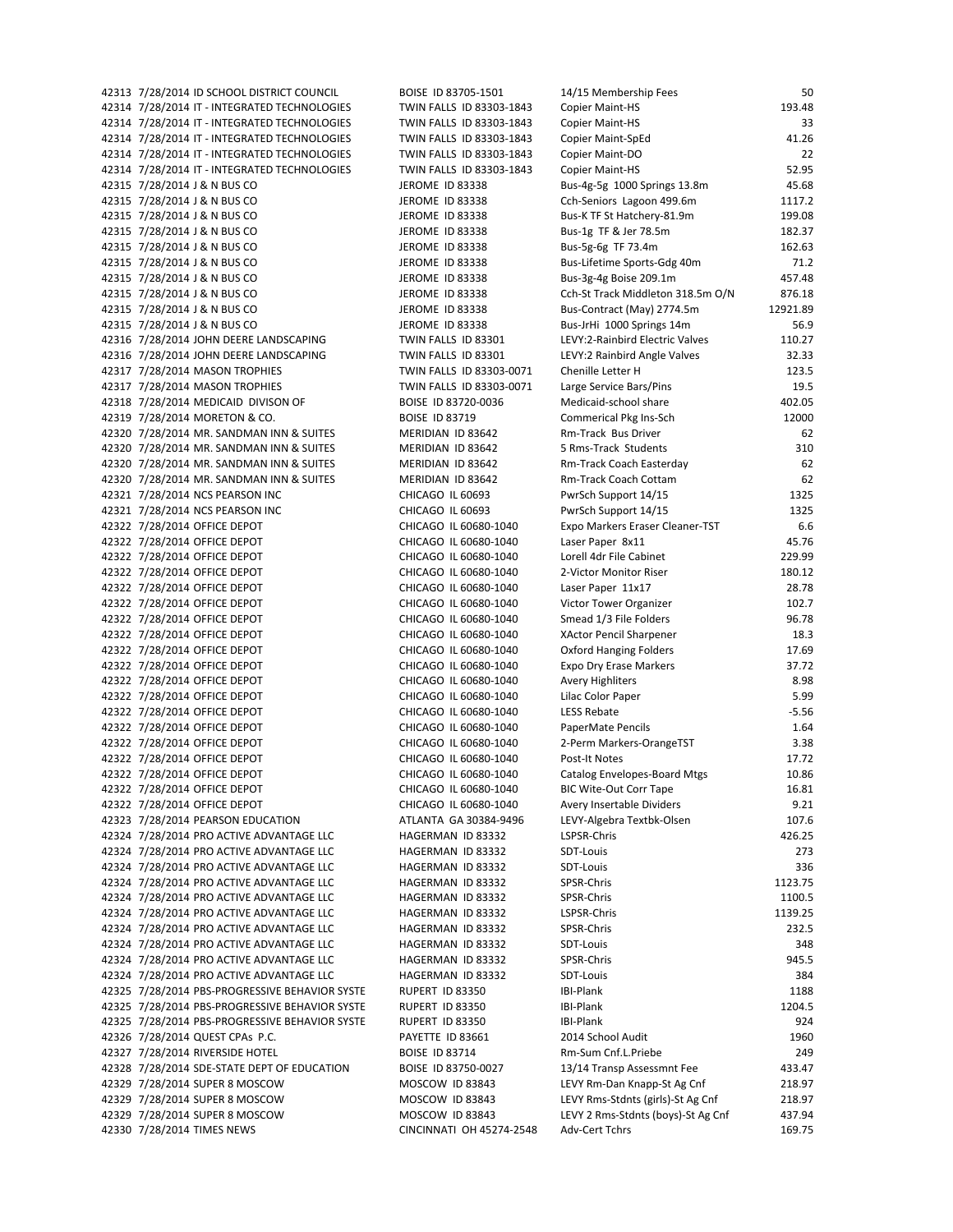42313 7/28/2014 ID SCHOOL DISTRICT COLINCIL BOISE ID 83705-1501 42314 7/28/2014 IT - INTEGRATED TECHNOLOGIES TWIN FALLS ID 83303-1843 42314 7/28/2014 IT - INTEGRATED TECHNOLOGIES TWIN FALLS ID 83303-1843 42314 7/28/2014 IT - INTEGRATED TECHNOLOGIES TWIN FALLS ID 83303-1843 42314 7/28/2014 IT - INTEGRATED TECHNOLOGIES TWIN FALLS ID 83303-1843 42314 7/28/2014 IT - INTEGRATED TECHNOLOGIES TWIN FALLS ID 83303-1843 42315 7/28/2014 J & N BUS CO JEROME ID 83338 42315 7/28/2014 J & N BUS CO JEROME ID 83338 42315 7/28/2014 J & N BUS CO JEROME ID 83338 42315 7/28/2014 J & N BUS CO JEROME ID 83338 42315 7/28/2014 J & N BUS CO JEROME ID 83338 42315 7/28/2014 J & N BUS CO JEROME ID 83338 42315 7/28/2014 J & N BUS CO JEROME ID 83338 42315 7/28/2014 J & N BUS CO JEROME ID 83338 42315 7/28/2014 J & N BUS CO JEROME ID 83338 42315 7/28/2014 J & N BUS CO JEROME ID 83338 42316 7/28/2014 JOHN DEERE LANDSCAPING TWIN FALLS ID 83301 42316 7/28/2014 JOHN DEERE LANDSCAPING TWIN FALLS ID 83301 42317 7/28/2014 MASON TROPHIES TWIN FALLS ID 83303-0071 42317 7/28/2014 MASON TROPHIES TWIN FALLS ID 83303-0071 42318 7/28/2014 MEDICAID DIVISON OF BOISE ID 83720-0036 42319 7/28/2014 MORETON & CO. BOISE ID 83719 42320 7/28/2014 MR. SANDMAN INN & SUITES MERIDIAN ID 83642 42320 7/28/2014 MR. SANDMAN INN & SUITES MERIDIAN ID 83642 42320 7/28/2014 MR. SANDMAN INN & SUITES MERIDIAN ID 83642 42320 7/28/2014 MR. SANDMAN INN & SUITES MERIDIAN ID 83642 42321 7/28/2014 NCS PEARSON INC CHICAGO IL 60693 42321 7/28/2014 NCS PEARSON INC CHICAGO II 60693 42322 7/28/2014 OFFICE DEPOT CHICAGO IL 60680-1040 42322 7/28/2014 OFFICE DEPOT CHICAGO IL 60680-1040 42322 7/28/2014 OFFICE DEPOT CHICAGO IL 60680-1040 42322 7/28/2014 OFFICE DEPOT CHICAGO II 60680-1040 42322 7/28/2014 OFFICE DEPOT CHICAGO IL 60680-1040 42322 7/28/2014 OFFICE DEPOT CHICAGO IL 60680-1040 42322 7/28/2014 OFFICE DEPOT CHICAGO IL 60680-1040 42322 7/28/2014 OFFICE DEPOT CHICAGO IL 60680-1040 42322 7/28/2014 OFFICE DEPOT CHICAGO IL 60680-1040 42322 7/28/2014 OFFICE DEPOT CHICAGO IL 60680-1040 42322 7/28/2014 OFFICE DEPOT CHICAGO IL 60680-1040 42322 7/28/2014 OFFICE DEPOT CHICAGO IL 60680-1040 42322 7/28/2014 OFFICE DEPOT CHICAGO IL 60680-1040 42322 7/28/2014 OFFICE DEPOT CHICAGO IL 60680-1040 42322 7/28/2014 OFFICE DEPOT CHICAGO IL 60680-1040 42322 7/28/2014 OFFICE DEPOT CHICAGO IL 60680-1040 42322 7/28/2014 OFFICE DEPOT CHICAGO IL 60680-1040 42322 7/28/2014 OFFICE DEPOT CHICAGO IL 60680-1040 42322 7/28/2014 OFFICE DEPOT CHICAGO IL 60680-1040 42323 7/28/2014 PEARSON EDUCATION ATLANTA GA 30384-9496 42324 7/28/2014 PRO ACTIVE ADVANTAGE LLC HAGERMAN ID 83332 42324 7/28/2014 PRO ACTIVE ADVANTAGE LLC HAGERMAN ID 83332 42324 7/28/2014 PRO ACTIVE ADVANTAGE LLC HAGERMAN ID 83332 42324 7/28/2014 PRO ACTIVE ADVANTAGE LLC HAGERMAN ID 83332 42324 7/28/2014 PRO ACTIVE ADVANTAGE LLC HAGERMAN ID 83332 42324 7/28/2014 PRO ACTIVE ADVANTAGE LLC HAGERMAN ID 83332 42324 7/28/2014 PRO ACTIVE ADVANTAGE LLC HAGERMAN ID 83332 42324 7/28/2014 PRO ACTIVE ADVANTAGE LLC HAGERMAN ID 83332 42324 7/28/2014 PRO ACTIVE ADVANTAGE LLC HAGERMAN ID 83332 42324 7/28/2014 PRO ACTIVE ADVANTAGE LLC HAGERMAN ID 83332 42325 7/28/2014 PBS-PROGRESSIVE BEHAVIOR SYSTE RUPERT ID 83350 42325 7/28/2014 PBS-PROGRESSIVE BEHAVIOR SYSTE RUPERT ID 83350 42325 7/28/2014 PBS-PROGRESSIVE BEHAVIOR SYSTE RUPERT ID 83350 42326 7/28/2014 QUEST CPAs P.C. PAYETTE ID 83661 42327 7/28/2014 RIVERSIDE HOTEL BOISE ID 83714 42328 7/28/2014 SDE-STATE DEPT OF EDUCATION BOISE ID 83750-0027 42329 7/28/2014 SUPER 8 MOSCOW MOSCOW MOSCOW ID 83843 42329 7/28/2014 SUPER 8 MOSCOW MOSCOW MOSCOW ID 83843 42329 7/28/2014 SUPER 8 MOSCOW **NOSCOW ID 83843** 42330 7/28/2014 TIMES NEWS CINCINNATI OH 45274-2548

| 14/15 Membership Fees              | 50       |
|------------------------------------|----------|
| Copier Maint-HS                    | 193.48   |
| Copier Maint-HS                    | 33       |
| Copier Maint-SpEd                  | 41.26    |
| Copier Maint-DO                    | 22       |
| Copier Maint-HS                    | 52.95    |
| Bus-4g-5g 1000 Springs 13.8m       | 45.68    |
| Cch-Seniors Lagoon 499.6m          | 1117.2   |
| Bus-K TF St Hatchery-81.9m         | 199.08   |
| Bus-1g TF & Jer 78.5m              | 182.37   |
| Bus-5g-6g TF 73.4m                 | 162.63   |
| Bus-Lifetime Sports-Gdg 40m        | 71.2     |
| Bus-3g-4g Boise 209.1m             | 457.48   |
| Cch-St Track Middleton 318.5m O/N  | 876.18   |
| Bus-Contract (May) 2774.5m         | 12921.89 |
| Bus-JrHi 1000 Springs 14m          | 56.9     |
| LEVY:2-Rainbird Electric Valves    | 110.27   |
| LEVY:2 Rainbird Angle Valves       | 32.33    |
| Chenille Letter H                  | 123.5    |
| Large Service Bars/Pins            | 19.5     |
| Medicaid-school share              | 402.05   |
| Commerical Pkg Ins-Sch             | 12000    |
| Rm-Track Bus Driver                | 62       |
|                                    |          |
| 5 Rms-Track Students               | 310      |
| Rm-Track Coach Easterday           | 62       |
| Rm-Track Coach Cottam              | 62       |
| PwrSch Support 14/15               | 1325     |
| PwrSch Support 14/15               | 1325     |
| Expo Markers Eraser Cleaner-TST    | 6.6      |
| Laser Paper 8x11                   | 45.76    |
| Lorell 4dr File Cabinet            | 229.99   |
| 2-Victor Monitor Riser             | 180.12   |
| Laser Paper 11x17                  | 28.78    |
| Victor Tower Organizer             | 102.7    |
| Smead 1/3 File Folders             | 96.78    |
| <b>XActor Pencil Sharpener</b>     | 18.3     |
| Oxford Hanging Folders             | 17.69    |
| Expo Dry Erase Markers             | 37.72    |
| Avery Highliters                   | 8.98     |
| Lilac Color Paper                  | 5.99     |
| LESS Rebate                        | $-5.56$  |
| PaperMate Pencils                  | 1.64     |
| 2-Perm Markers-OrangeTST           | 3.38     |
| Post-It Notes                      | 17.72    |
| Catalog Envelopes-Board Mtgs       | 10.86    |
| BIC Wite-Out Corr Tape             | 16.81    |
| Avery Insertable Dividers          | 9.21     |
| LEVY-Algebra Textbk-Olsen          | 107.6    |
| LSPSR-Chris                        | 426.25   |
| SDT-Louis                          | 273      |
| SDT-Louis                          | 336      |
| SPSR-Chris                         | 1123.75  |
|                                    |          |
| SPSR-Chris                         | 1100.5   |
| LSPSR-Chris                        | 1139.25  |
| SPSR-Chris                         | 232.5    |
| SDT-Louis                          | 348      |
| SPSR-Chris                         | 945.5    |
| SDT-Louis                          | 384      |
| <b>BI-Plank</b>                    | 1188     |
| <b>BI-Plank</b>                    | 1204.5   |
| <b>BI-Plank</b>                    | 924      |
| 2014 School Audit                  | 1960     |
| Rm-Sum Cnf.L.Priebe                | 249      |
| 13/14 Transp Assessmnt Fee         | 433.47   |
| LEVY Rm-Dan Knapp-St Ag Cnf        | 218.97   |
| LEVY Rms-Stdnts (girls)-St Ag Cnf  | 218.97   |
| LEVY 2 Rms-Stdnts (boys)-St Ag Cnf | 437.94   |
| Adv-Cert Tchrs                     | 169.75   |